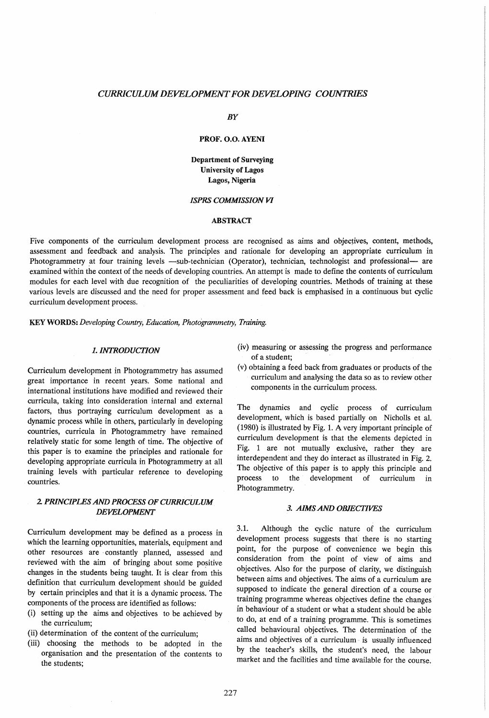### *CURRICULUM DEVELOPMENT FOR DEVELOPING COUNTRIES*

BY

#### PROF. 0.0. AYENI

Department of Surveying University of Lagos Lagos, Nigeria

# *ISPRS COMMISSION VI*

#### ABSTRACT

Five components of the curriculum development process are recognised as aims and objectives, content, methods, assessment and feedback and analysis. The principles and rationale for developing an appropriate curriculum in Photogrammetry at four training levels -sub-technician (Operator), technician, technologist and professional- are examined within the context of the needs of developing countries. An attempt is made to define the contents of curriculum modules for each level with due recognition of the peculiarities of developing countries. Methods of training at these various levels are discussed and the need for proper assessment and feed back is emphasised in a continuous but cyclic curriculum development process.

KEY WORDS: *Developing Country, Education, Photogrammetry, Training.* 

### *1. INTRODUCTION*

Curriculum development in Photogrammetry has assumed great importance in recent years. Some national and international institutions have modified and reviewed their curricula, taking into consideration internal and external factors, thus portraying curriculum development as a dynamic process while in others, particularly in developing countries, curricula in Photogrammetry have remained relatively static for some length of time, The objective of this paper is to examine the principles and rationale for developing appropriate curricula in Photogrammetry at all training levels with particular reference to developing countries.

# 2 *PRINCIPLES AND PROCESS OF CURRICULUM DEVELOPMENT*

Curriculum development may be defined as a process in which the learning opportunities, materials, equipment and other resources are· constantly planned, assessed and reviewed with the aim of bringing about some positive changes in the students being taught. It is clear from this definition that curriculum development should be guided by certain principles and that it is a dynamic process. The components of the process are identified as follows:

- (i) setting up the aims and objectives to be achieved by the curriculum;
- (ii) determination of the content of the curriculum'
- (iii) choosing the methods to be adopted 'in the organisation and the presentation of the contents to the students;
- (iv) measuring or assessing the progress and performance of a student;
- (v) obtaining a feed back from graduates or products of the curriculum and analysing the data so as to review other components in the curriculum process.

The dynamics and cyclic process of curriculum development, which is based partially on Nicholls et al. (1980) is illustrated by Fig. 1. A very important principle of curriculum development is that the elements depicted in Fig. 1 are not mutually exclusive, rather they are interdependent and they do interact as illustrated in Fig. 2. The objective of this paper is to apply this principle and process to the development of curriculum in Photogrammetry.

# *3. AIMS AND OBJECTIVES*

3.1. Although the cyclic nature of the curriculum development process suggests that there is no starting point, for the purpose of convenience we begin this consideration from the point of view of aims and objectives. Also for the purpose of clarity, we distinguish between aims and objectives. The aims of a curriculum are supposed to indicate the general direction of a course or training programme whereas objectives define the changes in behaviour of a student or what a student should be able to do, at end of a training programme. This is sometimes called behavioural objectives. The determination of the aims and objectives of a curriculum· is usually influenced by the teacher's skills, the student's need, the labour market and the facilities and time available for the course.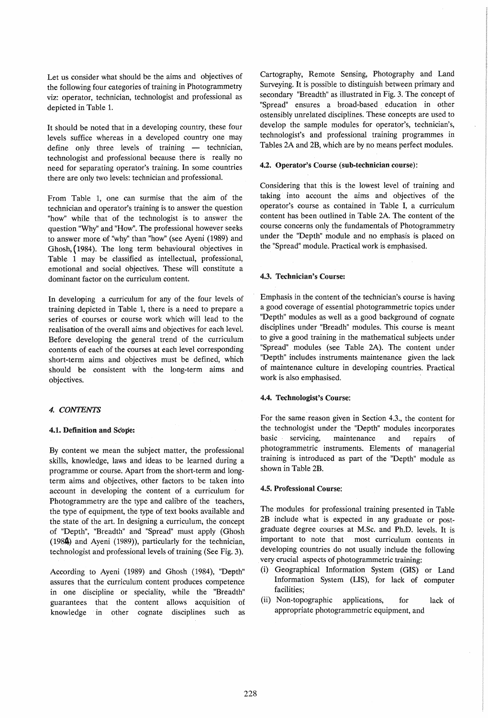Let us consider what should be the aims and objectives of the following four categories of training in Photogrammetry viz: operator, technician, technologist and professional as depicted in Table 1.

It should be noted that in a developing country, these four levels suffice whereas in a developed country one may define only three levels of training  $-$  technician, technologist and professional because there is really no need for separating operator's training. In some countries there are only two levels: technician and professional.

From Table 1, one can surmise that the aim of the technician and operator's training is to answer the question "how" while that of the technologist is to answer the question "Why" and "How". The professional however seeks to answer more of "why" than "how" (see Ayeni (1989) and Ghosh, ( 1984). The long term behavioural objectives in Table 1 may be classified as intellectual, professional, emotional and social objectives. These will constitute a dominant factor on the curriculum content.

In developing a curriculum for any of the. four levels of training depicted in Table 1, there is a need to prepare a series of courses or course work which will lead to the realisation of the overall aims and objectives for each level. Before developing the general trend of the curriculum contents of each of the courses at each level corresponding short-term aims and objectives must be defined, which should be consistent with the long-term aims and objectives.

# *4. CONTENTS*

#### 4.1. Definition and Scope:

By content we mean the subject matter, the professional skills, knowledge, laws and ideas to be learned during a programme or course. Apart from the short-term and longterm aims and objectives, other factors to be taken into account in developing the content of a curriculum for Photogrammetry are the type and calibre of the teachers, the type of equipment, the type of text books available and the state of the art. In designing a curriculum, the concept of "Depth", "Breadth" and "Spread" must apply (Ghosh (1984) and Ayeni (1989», particularly for the technician, technologist and professional levels of training (See Fig. 3).

According to Ayeni (1989) and Ghosh (1984), "Depth" assures that the curriculum content produces competence in one discipline or speciality, while the "Breadth" guarantees that the content allows acquisition of knowledge in other cognate disciplines such as

Cartography, Remote Sensing, Photography and Land Surveying. It is possible to distinguish between primary and secondary "Breadth" as illustrated in Fig. 3. The concept of "Spread" ensures a broad-based. education in other ostensibly unrelated disciplines. These concepts are used to develop the sample modules for operator's, technician's, technologist's and professional training programmes in Tables 2A and 2B, which are by no means perfect modules.

#### 4.2. Operator's Course (sub-technician course):

Considering that this is the lowest level of training and taking into account the aims and objectives of the operator's course as contained in Table I, a curriculum content has been outlined in Table 2A. The content of the course concerns only the fundamentals of Photogrammetry under the "Depth" module and no emphasis is placed on the "Spread" module. Practical work is emphasised.

# 4.3. Technician's Course:

Emphasis in the content of the technician's course is having a good coverage of essential photogrammetric topics under "Depth" modules as well as a good background of cognate disciplines under "Breadh" modules. This course is meant to give a good training in the mathematical subjects under "Spread" modules (see Table 2A). The content under "Depth" includes instruments maintenance given the lack of maintenance culture in developing countries. Practical work is also emphasised.

#### 4.4. Technologist's Course:

For the same reason given in Section 4.3., the content for the technologist under the "Depth" modules incorporates basic servicing, maintenance and repairs of photogrammetric instruments. Elements of managerial training is introduced as part of the "Depth" module as shown in Table 2B.

## 4.5. Professional Course:

The modules for professional training presented in Table 2B include what is expected in any graduate or postgraduate degree courses at M.Sc. and Ph.D. levels. It is important to note that most curriculum contents in developing countries do not usually include the following very crucial aspects of photogrammetric training:

- (i) Geographical Information System (GIS) or Land Information System (LIS), for lack of computer facilities;
- (ii) Non-topographic applications, for lack of appropriate photogrammetric equipment, and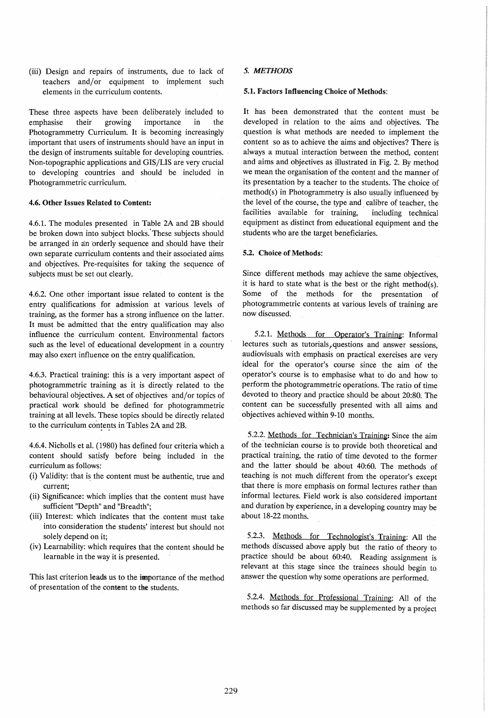(iii) Design and repairs of instruments, due to lack of teachers and/or equipment to implement such elements in the curriculum contents.

These three aspects have been deliberately included to emphasise their growing importance in the Photogrammetry Curriculum. It is becoming increasingly important that users of instruments should have an input in the design of instruments suitable for developing countries. ' Non-topographic applications and GIS/LIS are very crucial to developing countries and should be included in Photogrammetric curriculum.

### 4.6. Other Issues Related to Content:

4.6.1. The modules presented in Table 2A and 2B should be broken down into subject blocks.' These subjects should be arranged in' an 'orderly sequence and should have their own separate curriculum contents and their associated aims and objectives. Pre-requisites for taking the sequence of subjects must be set out clearly.

4.6.2. One other important issue related to content is the entry qualifications for admission at various levels of training, as the former has a strong influence on the latter. It must he admitted that the entry qualification may also influence the curriculum content. Environmental factors such as the level of educational development in a country may also exert influence on the entry qualification.

4.6.3. Practical training: this is a very important aspect of photogrammetric training as it is directly related to the behavioural objectives. A set of objectives and/or topics of practical work should be defined for photogrammetric training at all levels. These topics should be directly related to the curriculum contents in Tables 2A and 2B.

4.6.4. Nicholls et al. (1980) has defined four criteria which a content should satisfy before being included in the curriculum as follows:

- (i) Validity: that is the content must be authentic, true and current;
- (ii) Significance: which implies that the content must have sufficient "Depth" and "Breadth";
- (iii) Interest: which indicates that the content must take into consideration the students' interest but should not solely depend on it;
- (iv) Learnability: which requires that the content should be learnable in the way it is presented.

This last criterion leads us to the importance of the method of presentation of the content to the students.

# *5. METHODS*

### 5.1. Factors Influencing Choice of Methods:

It has been demonstrated that the content must be developed in relation to the aims and objectives. The question is what methods are needed to implement the content so as to achieve the aims and objectives? There is always a mutual interaction between the method, content and aims and objectives as illustrated in Fig. 2. By method we mean the organisation of the content and the manner of its presentation by a teacher to. the students. The choice of method(s) in Photogrammetry is also usually influenced by the level of the course, the type and calibre of teacher, the facilities available for training, including technical equipment as distinct from educational equipment and the students who are the target beneficiaries.

## 5.2. Choice of Methods:

Since different methods may achieve the same objectives, it is hard to state what is the best or the right method $(s)$ . Some of the methods for the presentation of photogrammetric contents at various levels of training are now discussed.

5.2.1. Methods for Operator's Training: Informal lectures such as tutorials) questions and answer sessions, audiovisuals with emphasis on practical exercises are very ideal for the operator's course since the aim of the operator's course is to emphasise what to do and how to perform the photogrammetric operations. The ratio of time devoted to theory and practice should be about 20:80. The content can be successfully presented with all aims and objectives achieved within 9-10 months.

5.2.2. Methods for Technician's Training: Since the aim of the technician course is to provide both theoretical and practical training, the ratio of time devoted to the former and the latter should be about 40:60. The methods of teaching is not much different from the operator's except that there is more emphasis on formal lectures rather than informal lectures. Field work is also considered important and duration by experience, in a developing country may be about 18-22 months.

5.2.3. Methods for Technologist's Training: All the methods discussed above apply but the ratio of theory to practice should be about 60:40. Reading assignment is relevant at this stage since the trainees should begin to answer the question why some operations are performed.

5.2.4. Methods for Professional Training: All of the methods so far discussed may be supplemented by a project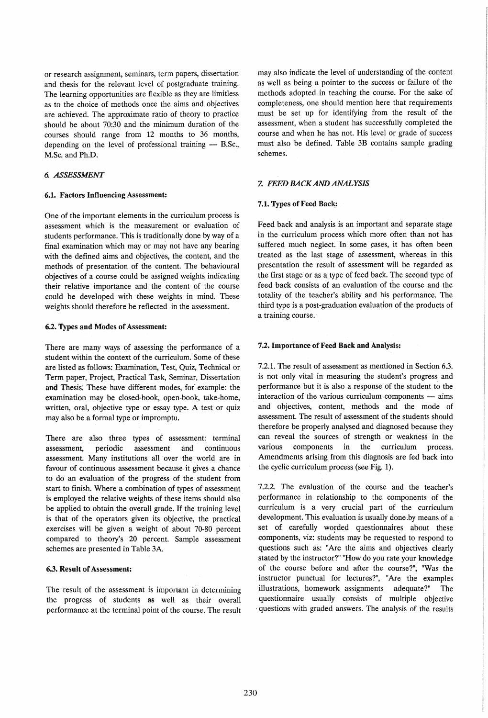or research assignment, seminars, term papers, dissertation and thesis for the relevant level of postgraduate training. The learning opportunities are flexible as they are limitless as to the choice of methods once the aims and objectives are achieved. The approximate ratio of theory to practice should be about 70:30 and the minimum duration of the courses should range from 12 months to 36 months, depending on the level of professional training  $-$  B.Sc., M.Sc. and Ph.D.

# *6. ASSESSMENT*

### 6.1. Factors Influencing Assessment:

One of the important elements in the curriculum process is assessment which is the measurement or evaluation of students performance. This is traditionally done by way of a final examination which mayor may not have any bearing with the defined aims and objectives, the content, and the methods of presentation of the content. The behavioural objectives of a course could be assigned weights indicating their relative importance and the content of the course could be developed with these weights in mind. These weights should therefore be reflected in the assessment.

# 6.2. Types and Modes of Assessment:

There are many ways of assessing the performance of a student within the context of the curriculum. Some of these are listed as follows: Examination, Test, Quiz, Technical or Term paper, Project, Practical Task, Seminar, Dissertation and Thesis. These have different modes, for example: the examination may be closed-book, open-book, take-home, written, oral, objective type or essay type. A test or quiz may also be a formal type or impromptu.

There are also three types of assessment: terminal assessment, periodic assessment and continuous assessment. Many institutions all· over the world are in favour of continuous assessment because it gives a chance to do an evaluation of the progress of the student from start to finish. Where a combination of types of assessment is employed the relative weights of these items should also be applied to obtain the overall grade. If the training level is that of the operators given its objective, the practical exercises will be given a weight of about 70-80 percent compared to theory's 20 percent. Sample assessment schemes are presented in Table 3A

## 6.3. Result of Assessment:

The result of the assessment is important in determining the progress of students as well as their overall performance at the terminal point of the course. The result may also indicate the level of understanding of the content as well as being a pointer to the success or failure of the methods adopted in teaching the course. For the sake of completeness, one should mention here that requirements must be set up for identifying from the result of the assessment, when a student has successfully completed the course and when he has not. His level or grade of success must also be defined. Table 3B contains sample grading schemes.

# Z *FEEDBACKANDANALYSIS*

# 7.1. Types of Feed Back:

Feed back and analysis is an important and separate stage in the curriculum process which more often than not has suffered much neglect. In some cases, it has often been treated as the last stage of assessment, whereas in this presentation the result of assessment will be regarded as the first stage or as a type of feed back. The second type of feed back consists of an evaluation of the course and the totality of the teacher's ability and his performance. The third type is a post-graduation evaluation of the products of a training course.

# 7.2. Importance of Feed Back and Analysis:

7.2.1. The result of assessment as mentioned in Section 6.3. is not only vital in measuring the student's progress and performance but it is also a response of the student to the interaction of the various curriculum components  $-$  aims and objectives, content, methods and the mode of assessment. The result of assessment of the students should therefore be properly analysed and diagnosed because they can reveal the sources of strength or weakness in the various components in the curriculum process. Amendments arising from this diagnosis are fed back into the cyclic curriculum process (see Fig. 1).

7.2.2. The evaluation of the course and the teacher's performance in relationship to the components of the curriculum is a very crucial part of the curriculum development. This evaluation is usually done by means of a set of carefully worded questionnaires about these components, viz: students may be requested to respond to questions such as: "Are the aims and objectives clearly stated by the instructor?" "How do you rate your knowledge of the course before and after the course?", "Was the instructor punctual for lectures?", "Are the examples illustrations, homework assignments adequate?" The questionnaire usually consists of multiple objective . questions with graded answers. The analysis of the results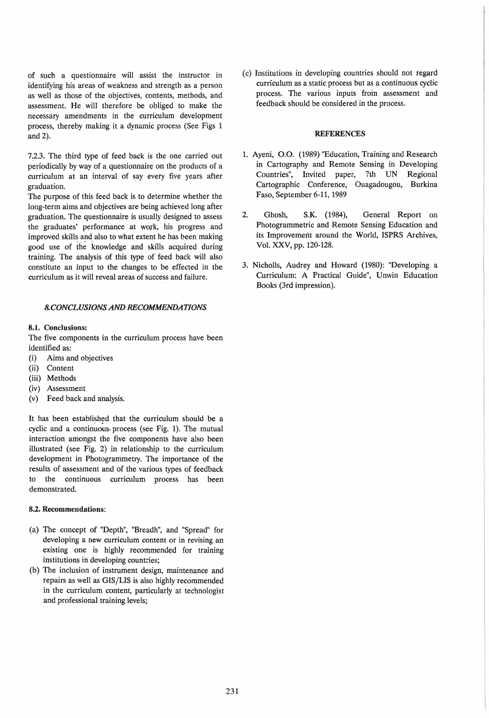of such a questionnaire will assist the instructor in identifying his areas of weakness and strength as a person as well as those of the objectives, contents, methods, and assessment. He will therefore be obliged to make the necessary amendments in the curriculum development process, thereby making it a dynamic process (See Figs 1 and 2).

7.2.3. The third type of feed back is the one carried out periodically by way of a questionnaire on the products of a curriculum at an interval of say every five years after graduation.

The purpose of this feed back is to determine whether the long-term aims and objectives are being achieved long after graduation. The questionnaire is usually designed to assess the graduates' performance at work, his progress and improved skills and also to what extent he has been making good use of the knowledge and skills acquired during training. The analysis of this type of feed back will also constitute an input to the changes to be effected in the curriculum as it will reveal areas of success and failure.

#### 8. *CONCLUSIONS AND RECOMMENDATIONS*

#### 8.1. Conclusions:

The five components in the curriculum process have been identified as:

- (i) Aims and objectives
- (ii) Content
- (iii) Methods
- (iv) Assessment
- (v) Feed back and analysis.

It has been established that the curriculum should be a cyclic and a continuous. process (see Fig. 1). The mutual interaction amongst the five components have also been illustrated (see Fig. 2) in relationship to the curriculum development in Photogrammetry. The importance of the results of assessment and of the various types of feedback to the continuous curriculum process has been demonstrated.

#### 8.2. Recommendations:

- (a) The concept of "Depth", "Breadh", and "Spread" for developing a new curriculum content or in revising an existing one is highly recommended for training institutions in developing countries;
- (b) The inclusion of instrument design, maintenance and repairs as well as GIS/LIS is also highly recommended in the curriculum content, particularly at technologist and professional training levels;

(c) Institutions in developing countries should not regard curriculum as a static process but as a continuous cyclic process. The various inputs from assessment and feedback should be considered in the process.

### REFERENCES

- 1. Ayeni, 0.0. (1989) "Education, Training and Research in Cartography and Remote Sensing in Developing Countries", Invited paper, 7th UN Regional Cartographic Conference, Ouagadougou, Burkina Faso, September 6-11, 1989
- 2. Ghosh, S.K. (1984), General Report on Photogrammetric and Remote Sensing Education and its Improvement around the World, ISPRS Archives, Vol. XXV, pp. 120-128.
- 3. Nicholls, Audrey and Howard (1980): "Developing a Curriculum: A Practical Guide", Unwin Education Books (3rd impression).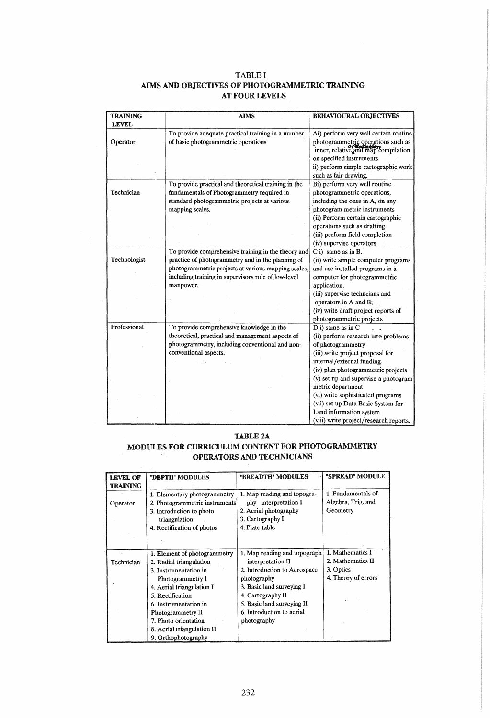# TABLE I AIMS AND OBJECTIVES OF PHOTOGRAMMETRIC TRAINING AT FOUR LEVELS

| <b>TRAINING</b><br><b>LEVEL</b> | <b>AIMS</b>                                          | <b>BEHAVIOURAL OBJECTIVES</b>                                             |  |
|---------------------------------|------------------------------------------------------|---------------------------------------------------------------------------|--|
|                                 | To provide adequate practical training in a number   | Ai) perform very well certain routine                                     |  |
| Operator                        | of basic photogrammetric operations                  | photogrammetric operations such as<br>inner, relative and map compilation |  |
|                                 |                                                      | on specified instruments                                                  |  |
|                                 |                                                      | ii) perform simple cartographic work                                      |  |
|                                 |                                                      | such as fair drawing.                                                     |  |
|                                 | To provide practical and theoretical training in the | Bi) perform very well routine                                             |  |
| Technician                      | fundamentals of Photogrammetry required in           | photogrammetric operations,                                               |  |
|                                 | standard photogrammetric projects at various         | including the ones in A, on any                                           |  |
|                                 | mapping scales.                                      | photogram metric instruments                                              |  |
|                                 |                                                      | (ii) Perform certain cartographic                                         |  |
|                                 |                                                      | operations such as drafting                                               |  |
|                                 |                                                      | (iii) perform field completion                                            |  |
|                                 |                                                      | (iv) supervise operators                                                  |  |
|                                 | To provide comprehensive training in the theory and  | $C$ i) same as in B.                                                      |  |
| Technologist                    | practice of photogrammetry and in the planning of    | (ii) write simple computer programs                                       |  |
|                                 | photogrammetric projects at various mapping scales,  | and use installed programs in a                                           |  |
|                                 | including training in supervisory role of low-level  | computer for photogrammetric                                              |  |
|                                 | manpower.                                            | application.                                                              |  |
|                                 |                                                      | (iii) supervise techncians and                                            |  |
|                                 |                                                      | operators in A and B;                                                     |  |
|                                 |                                                      | (iv) write draft project reports of                                       |  |
|                                 |                                                      | photogrammetric projects                                                  |  |
| Professional                    | To provide comprehensive knowledge in the            | D i) same as in C                                                         |  |
|                                 | theoretical, practical and management aspects of     | (ii) perform research into problems                                       |  |
|                                 | photogrammetry, including conventional and non-      | of photogrammetry                                                         |  |
|                                 | conventional aspects.                                | (iii) write project proposal for                                          |  |
|                                 |                                                      | internal/external funding.                                                |  |
|                                 |                                                      | (iv) plan photogrammetric projects                                        |  |
|                                 |                                                      | (v) set up and supervise a photogram                                      |  |
|                                 |                                                      | metric department                                                         |  |
|                                 |                                                      | (vi) write sophisticated programs                                         |  |
|                                 |                                                      | (vii) set up Data Basic System for                                        |  |
|                                 |                                                      | Land information system                                                   |  |
|                                 |                                                      | (viii) write project/research reports.                                    |  |

# TABLE 2A MODULES FOR CURRICULUM CONTENT FOR PHOTOGRAMMETRY OPERATORS AND TECHNICIANS

| <b>LEVEL OF</b> | "DEPTH" MODULES                | "BREADTH" MODULES            | "SPREAD" MODULE     |
|-----------------|--------------------------------|------------------------------|---------------------|
| <b>TRAINING</b> |                                |                              |                     |
|                 | 1. Elementary photogrammetry   | 1. Map reading and topogra-  | 1. Fundamentals of  |
| Operator        | 2. Photogrammetric instruments | phy interpretation I         | Algebra, Trig. and  |
|                 | 3. Introduction to photo       | 2. Aerial photography        | Geometry            |
|                 | triangulation.                 | 3. Cartography I             |                     |
|                 | 4. Rectification of photos     | 4. Plate table               |                     |
|                 |                                |                              |                     |
|                 |                                |                              |                     |
|                 | 1. Element of photogrammetry   | 1. Map reading and topograph | 1. Mathematics I    |
| Technician      | 2. Radial triangulation        | interpretation II            | 2. Mathematics II   |
|                 | 3. Instrumentation in          | 2. Introduction to Aerospace | 3. Optics           |
|                 | Photogrammetry I               | photography                  | 4. Theory of errors |
|                 | 4. Aerial triangulation I      | 3. Basic land surveying I    |                     |
|                 | 5. Rectification               | 4. Cartography II            |                     |
|                 | 6. Instrumentation in          | 5. Basic land surveying II   |                     |
|                 | Photogrammetry II              | 6. Introduction to aerial    |                     |
|                 | 7. Photo orientation           | photography                  |                     |
|                 | 8. Aerial triangulation II     |                              |                     |
|                 | 9. Orthophotography            |                              |                     |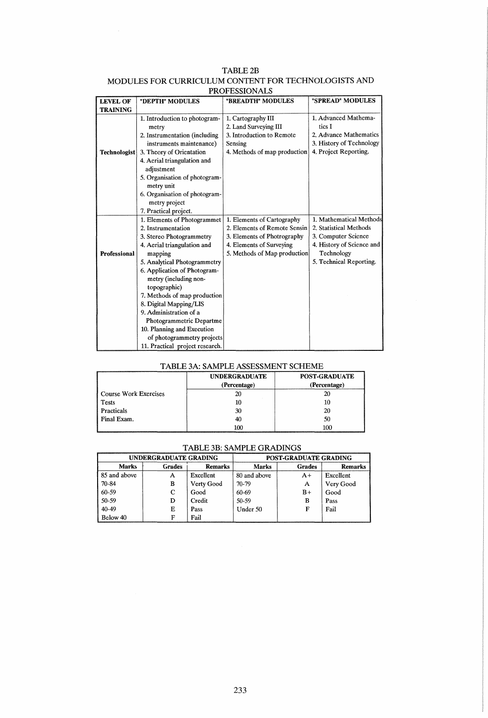| <b>LUALLOOIOIS HT</b> |                                                                                                                                                                                                                                                                                                                                                                                                                                                 |                                                                                                                                                       |                                                                                                                                                |  |
|-----------------------|-------------------------------------------------------------------------------------------------------------------------------------------------------------------------------------------------------------------------------------------------------------------------------------------------------------------------------------------------------------------------------------------------------------------------------------------------|-------------------------------------------------------------------------------------------------------------------------------------------------------|------------------------------------------------------------------------------------------------------------------------------------------------|--|
| <b>LEVEL OF</b>       | "DEPTH" MODULES                                                                                                                                                                                                                                                                                                                                                                                                                                 | "BREADTH" MODULES                                                                                                                                     | "SPREAD" MODULES                                                                                                                               |  |
| <b>TRAINING</b>       |                                                                                                                                                                                                                                                                                                                                                                                                                                                 |                                                                                                                                                       |                                                                                                                                                |  |
| <b>Technologist</b>   | 1. Introduction to photogram-<br>metry<br>2. Instrumentation (including<br>instruments maintenance)<br>3. Theory of Orientation<br>4. Aerial triangulation and<br>adjustment<br>5. Organisation of photogram-<br>metry unit                                                                                                                                                                                                                     | 1. Cartography III<br>2. Land Surveying III<br>3. Introduction to Remote<br>Sensing<br>4. Methods of map production                                   | 1. Advanced Mathema-<br>tics I<br>2. Advance Mathematics<br>3. History of Technology<br>4. Project Reporting.                                  |  |
|                       | 6. Organisation of photogram-<br>metry project<br>7. Practical project.                                                                                                                                                                                                                                                                                                                                                                         |                                                                                                                                                       |                                                                                                                                                |  |
| <b>Professional</b>   | 1. Elements of Photogrammet<br>2. Instrumentation<br>3. Stereo Photogrammetry<br>4. Aerial triangulation and<br>mapping<br>5. Analytical Photogrammetry<br>6. Application of Photogram-<br>metry (including non-<br>topographic)<br>7. Methods of map production<br>8. Digital Mapping/LIS<br>9. Administration of a<br>Photogrammetric Departme<br>10. Planning and Execution<br>of photogrammetry projects<br>11. Practical project research. | 1. Elements of Cartography<br>2. Elements of Remote Sensin<br>3. Elements of Photrography<br>4. Elements of Surveying<br>5. Methods of Map production | 1. Mathematical Methods<br>2. Statistical Methods<br>3. Computer Science<br>4. History of Science and<br>Technology<br>5. Technical Reporting. |  |

# TABLE2B MODULES FOR CURRICULUM CONTENT FOR TECHNOLOGISTS AND **PROFESSIONALS**

 $\bar{z}$ 

# TABLE *3A:* SAMPLE ASSESSMENT SCHEME

|                              | <b>UNDERGRADUATE</b><br>(Percentage) | <b>POST-GRADUATE</b><br>(Percentage) |
|------------------------------|--------------------------------------|--------------------------------------|
| <b>Course Work Exercises</b> |                                      | 20                                   |
| <b>Tests</b>                 | 10                                   | 10                                   |
| Practicals                   | 30                                   | 20                                   |
| Final Exam.                  | 40                                   | 50                                   |
| <b>ALC: YES</b>              | 100                                  | 100                                  |

# TABLE 3B: SAMPLE GRADINGS

| UNDERGRADUATE GRADING |        | POST-GRADUATE GRADING |              |               |                |
|-----------------------|--------|-----------------------|--------------|---------------|----------------|
| <b>Marks</b>          | Grades | <b>Remarks</b>        | <b>Marks</b> | <b>Grades</b> | <b>Remarks</b> |
| 85 and above          | Α      | Excellent             | 80 and above | $A+$          | Excellent      |
| 70-84                 | B      | Verty Good            | 70-79        | A             | Very Good      |
| 60-59                 | C      | Good                  | 60-69        | $B+$          | Good           |
| 50-59                 | D      | Credit                | 50-59        | в             | Pass           |
| 40-49                 | Е      | Pass                  | Under 50     | F             | Fail           |
| Below 40              | F      | Fail                  |              |               |                |